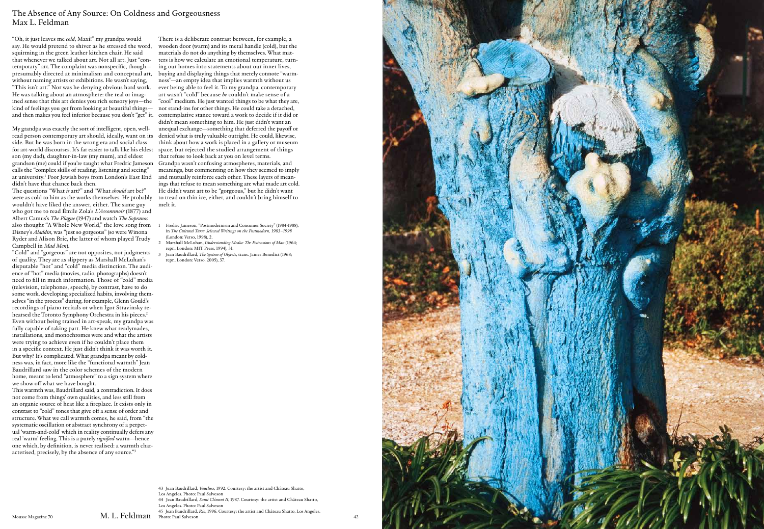"Oh, it just leaves me *cold*, Maxi!" my grandpa would say. He would pretend to shiver as he stressed the word, squirming in the green leather kitchen chair. He said that whenever we talked about art. Not all art. Just "con temporary" art. The complaint was nonspeci fc, though presumably directed at minimalism and conceptual art, without naming artists or exhibitions. He wasn't saying, "This isn't art." Nor was he denying obvious hard work. He was talking about an atmosphere: the real or imag ined sense that this art denies you rich sensory joys—the kind of feelings you get from looking at beautiful things—

My grandpa was exactly the sort of intelligent, open, wellread person contemporary art should, ideally, want on its side. But he was born in the wrong era and social class for art-world discourses. It's far easier to talk like his eldest son (my dad), daughter-in-law (my mum), and eldest grandson (me) could if you're taught what Fredric Jameson calls the "complex skills of reading, listening and seeing" at university. 1 Poor Jewish boys from London's East End didn't have that chance back then.

The questions "What *is* art?" and "What *should* art be?" were as cold to him as the works themselves. He probably wouldn't have liked the answer, either. The same guy who got me to read Émile Zola's *L'Assommoir* (1877) and Albert Camus's *The Plague* (1947) and watch *The Sopranos* also thought "A Whole New World," the love song from Disney's *Aladdin*, was "just so gorgeous" (so were Winona Ryder and Alison Brie, the latter of whom played Trudy Campbell in *Mad Men*).

"Cold" and "gorgeous" are not opposites, nor judgments of quality. They are as slippery as Marshall McLuhan's disputable "hot" and "cold" media distinction. The audi ence of "hot" media (movies, radio, photographs) doesn't need to fll in much information. Those of "cold" media (television, telephones, speech), by contrast, have to do some work, developing specialized habits, involving them selves "in the process" during, for example, Glenn Gould's recordings of piano recitals or when Igor Stravinsky re hearsed the Toronto Symphony Orchestra in his pieces. 2 Even without being trained in art-speak, my grandpa was fully capable of taking part. He knew what readymades, installations, and monochromes were and what the artists were trying to achieve even if he couldn't place them in a speci fc context. He just didn't think it was worth it. But why? It's complicated. What grandpa meant by cold ness was, in fact, more like the "functional warmth" Jean Baudrillard saw in the color schemes of the modern home, meant to lend "atmosphere" to a sign system where we show o f what we have bought.

and then makes you feel inferior because you don't "get" it. contemplative stance toward a work to decide if it did or There is a deliberate contrast between, for example, a wooden door (warm) and its metal handle (cold), but the materials do not do anything by themselves. What mat ters is how we calculate an emotional temperature, turn ing our homes into statements about our inner lives, buying and displaying things that merely connote "warmness"—an empty idea that implies warmth without us ever being able to feel it. To my grandpa, contemporary art wasn't "cold" because *he* couldn't make sense of a "cool" medium. He just wanted things to be what they are, not stand-ins for other things. He could take a detached, didn't mean something to him. He just didn't want an unequal exchange—something that deferred the payo f or denied what is truly valuable outright. He could, likewise, think about how a work is placed in a gallery or museum space, but rejected the studied arrangement of things that refuse to look back at you on level terms. Grandpa wasn't confusing atmospheres, materials, and meanings, but commenting on how they seemed to imply and mutually reinforce each other. These layers of mean ings that refuse to mean something are what made art cold. He didn't want art to be "gorgeous," but he didn't want to tread on thin ice, either, and couldn't bring himself to melt it.

This warmth was, Baudrillard said, a contradiction. It does not come from things' own qualities, and less still from an organic source of heat like a freplace. It exists only in contrast to "cold" tones that give o f a sense of order and structure. What we call warmth comes, he said, from "the systematic oscillation or abstract synchrony of a perpetual 'warm-and-cold' which in reality continually defers any real 'warm' feeling. This is a purely *signifed* warm—hence one which, by de fnition, is never realised: a warmth characterised, precisely, by the absence of any source."3

## The Absence of Any Source: On Coldness and Gorgeousness Max L. Feldman

- 1 Fredric Jameson, "Postmodernism and Consumer Society" (1984-1988), in *The Cultural Turn: Selected Writings on the Postmodern, 1983* –*1998*  (London: Verso, 1998), 2.
- 2 Marshall McLuhan, *Understanding Media: The Extensions of Man* (1964; repr., London: MIT Press, 1994), 31.
- 3 Jean Baudrillard, *The System of Objects*, trans. James Benedict (1968; repr., London: Verso, 2005), 37.

Los Angeles. Photo: Paul Salveson

44 Jean Baudrillard, *Saint Clément II*, 1987. Courtesy: the artist and Château Shatto,

Los Angeles. Photo: Paul Salveson 45 Jean Baudrillard, *Rio*, 1996. Courtesy: the artist and Château Shatto, Los Angeles.